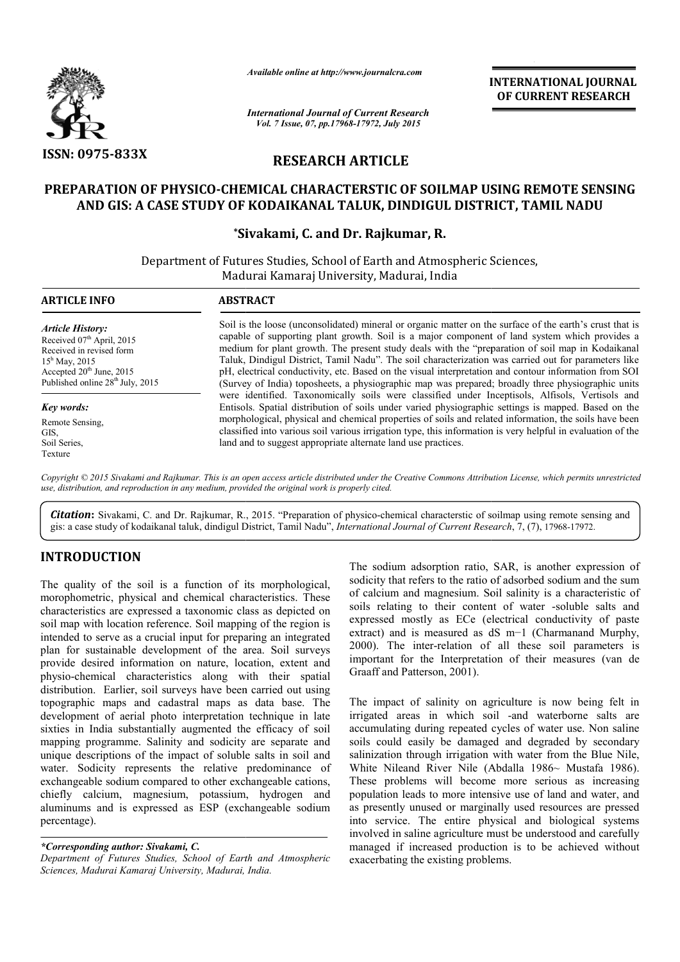

*Available online at http://www.journalcra.com*

# **RESEARCH ARTICLE**

## **PREPARATION OF PHYSICO-CHEMICAL CHARACTERSTIC OF SOILMAP USING REMOTE SENSING**  'ARATION OF PHYSICO-CHEMICAL CHARACTERSTIC OF SOILMAP USING REMOTE SEN<br>AND GIS: A CASE STUDY OF KODAIKANAL TALUK, DINDIGUL DISTRICT, TAMIL NADU

## **\*Sivakami Sivakami, C. and Dr. Rajkumar, R.**

|                                                                                                                                                                                                                                                                                                                                                                                                                                                                                                                                                                                                 |                                                                                                                                                                                                                                                                                                                                                                                                                                                                                                                                                                                                                                                                                                                                                                                                                                                                                                                                                                                                                                                                                                                                        | unuvic viiine ui nup://www.jvurnuicru.com   | <b>INTERNATIONAL JOURNAL</b><br>OF CURRENT RESEARCH                                                                                                                                                                                                                                                                                                                                                                                                                                                                                                                                                                                                                                                   |
|-------------------------------------------------------------------------------------------------------------------------------------------------------------------------------------------------------------------------------------------------------------------------------------------------------------------------------------------------------------------------------------------------------------------------------------------------------------------------------------------------------------------------------------------------------------------------------------------------|----------------------------------------------------------------------------------------------------------------------------------------------------------------------------------------------------------------------------------------------------------------------------------------------------------------------------------------------------------------------------------------------------------------------------------------------------------------------------------------------------------------------------------------------------------------------------------------------------------------------------------------------------------------------------------------------------------------------------------------------------------------------------------------------------------------------------------------------------------------------------------------------------------------------------------------------------------------------------------------------------------------------------------------------------------------------------------------------------------------------------------------|---------------------------------------------|-------------------------------------------------------------------------------------------------------------------------------------------------------------------------------------------------------------------------------------------------------------------------------------------------------------------------------------------------------------------------------------------------------------------------------------------------------------------------------------------------------------------------------------------------------------------------------------------------------------------------------------------------------------------------------------------------------|
|                                                                                                                                                                                                                                                                                                                                                                                                                                                                                                                                                                                                 | <b>International Journal of Current Research</b>                                                                                                                                                                                                                                                                                                                                                                                                                                                                                                                                                                                                                                                                                                                                                                                                                                                                                                                                                                                                                                                                                       | Vol. 7 Issue, 07, pp.17968-17972, July 2015 |                                                                                                                                                                                                                                                                                                                                                                                                                                                                                                                                                                                                                                                                                                       |
| <b>ISSN: 0975-833X</b>                                                                                                                                                                                                                                                                                                                                                                                                                                                                                                                                                                          | <b>RESEARCH ARTICLE</b>                                                                                                                                                                                                                                                                                                                                                                                                                                                                                                                                                                                                                                                                                                                                                                                                                                                                                                                                                                                                                                                                                                                |                                             |                                                                                                                                                                                                                                                                                                                                                                                                                                                                                                                                                                                                                                                                                                       |
|                                                                                                                                                                                                                                                                                                                                                                                                                                                                                                                                                                                                 | AND GIS: A CASE STUDY OF KODAIKANAL TALUK, DINDIGUL DISTRICT, TAMIL NADU                                                                                                                                                                                                                                                                                                                                                                                                                                                                                                                                                                                                                                                                                                                                                                                                                                                                                                                                                                                                                                                               |                                             | PREPARATION OF PHYSICO-CHEMICAL CHARACTERSTIC OF SOILMAP USING REMOTE SENSING                                                                                                                                                                                                                                                                                                                                                                                                                                                                                                                                                                                                                         |
|                                                                                                                                                                                                                                                                                                                                                                                                                                                                                                                                                                                                 |                                                                                                                                                                                                                                                                                                                                                                                                                                                                                                                                                                                                                                                                                                                                                                                                                                                                                                                                                                                                                                                                                                                                        | *Sivakami, C. and Dr. Rajkumar, R.          |                                                                                                                                                                                                                                                                                                                                                                                                                                                                                                                                                                                                                                                                                                       |
|                                                                                                                                                                                                                                                                                                                                                                                                                                                                                                                                                                                                 | Department of Futures Studies, School of Earth and Atmospheric Sciences,                                                                                                                                                                                                                                                                                                                                                                                                                                                                                                                                                                                                                                                                                                                                                                                                                                                                                                                                                                                                                                                               | Madurai Kamaraj University, Madurai, India  |                                                                                                                                                                                                                                                                                                                                                                                                                                                                                                                                                                                                                                                                                                       |
| <b>ARTICLE INFO</b>                                                                                                                                                                                                                                                                                                                                                                                                                                                                                                                                                                             | <b>ABSTRACT</b>                                                                                                                                                                                                                                                                                                                                                                                                                                                                                                                                                                                                                                                                                                                                                                                                                                                                                                                                                                                                                                                                                                                        |                                             |                                                                                                                                                                                                                                                                                                                                                                                                                                                                                                                                                                                                                                                                                                       |
| <b>Article History:</b><br>Received 07th April, 2015<br>Received in revised form<br>15 <sup>h</sup> May, 2015<br>Accepted 20 <sup>th</sup> June, 2015<br>Published online 28 <sup>th</sup> July, 2015<br>Key words:<br>Remote Sensing,<br>GIS,<br>Soil Series,                                                                                                                                                                                                                                                                                                                                  | Soil is the loose (unconsolidated) mineral or organic matter on the surface of the earth's crust that is<br>capable of supporting plant growth. Soil is a major component of land system which provides a<br>medium for plant growth. The present study deals with the "preparation of soil map in Kodaikanal<br>Taluk, Dindigul District, Tamil Nadu". The soil characterization was carried out for parameters like<br>pH, electrical conductivity, etc. Based on the visual interpretation and contour information from SOI<br>(Survey of India) toposheets, a physiographic map was prepared; broadly three physiographic units<br>were identified. Taxonomically soils were classified under Inceptisols, Alfisols, Vertisols and<br>Entisols. Spatial distribution of soils under varied physiographic settings is mapped. Based on the<br>morphological, physical and chemical properties of soils and related information, the soils have been<br>classified into various soil various irrigation type, this information is very helpful in evaluation of the<br>land and to suggest appropriate alternate land use practices. |                                             |                                                                                                                                                                                                                                                                                                                                                                                                                                                                                                                                                                                                                                                                                                       |
| Texture                                                                                                                                                                                                                                                                                                                                                                                                                                                                                                                                                                                         | use, distribution, and reproduction in any medium, provided the original work is properly cited.<br>gis: a case study of kodaikanal taluk, dindigul District, Tamil Nadu", International Journal of Current Research, 7, (7), 17968-17972.                                                                                                                                                                                                                                                                                                                                                                                                                                                                                                                                                                                                                                                                                                                                                                                                                                                                                             |                                             | Copyright © 2015 Sivakami and Rajkumar. This is an open access article distributed under the Creative Commons Attribution License, which permits unrestricted<br><b>Citation:</b> Sivakami, C. and Dr. Rajkumar, R., 2015. "Preparation of physico-chemical characterstic of soilmap using remote sensing and                                                                                                                                                                                                                                                                                                                                                                                         |
| <b>INTRODUCTION</b>                                                                                                                                                                                                                                                                                                                                                                                                                                                                                                                                                                             |                                                                                                                                                                                                                                                                                                                                                                                                                                                                                                                                                                                                                                                                                                                                                                                                                                                                                                                                                                                                                                                                                                                                        |                                             |                                                                                                                                                                                                                                                                                                                                                                                                                                                                                                                                                                                                                                                                                                       |
| The quality of the soil is a function of its morphological,<br>morophometric, physical and chemical characteristics. These<br>characteristics are expressed a taxonomic class as depicted on<br>soil map with location reference. Soil mapping of the region is<br>intended to serve as a crucial input for preparing an integrated<br>plan for sustainable development of the area. Soil surveys<br>provide desired information on nature, location, extent and<br>physio-chemical characteristics along with their spatial<br>distribution. Earlier, soil surveys have been carried out using |                                                                                                                                                                                                                                                                                                                                                                                                                                                                                                                                                                                                                                                                                                                                                                                                                                                                                                                                                                                                                                                                                                                                        | Graaff and Patterson, 2001).                | The sodium adsorption ratio, SAR, is another expression of<br>sodicity that refers to the ratio of adsorbed sodium and the sum<br>of calcium and magnesium. Soil salinity is a characteristic of<br>soils relating to their content of water -soluble salts and<br>expressed mostly as ECe (electrical conductivity of paste<br>extract) and is measured as dS m-1 (Charmanand Murphy,<br>2000). The inter-relation of all these soil parameters is<br>important for the Interpretation of their measures (van de                                                                                                                                                                                     |
| percentage).                                                                                                                                                                                                                                                                                                                                                                                                                                                                                                                                                                                    | topographic maps and cadastral maps as data base. The<br>development of aerial photo interpretation technique in late<br>sixties in India substantially augmented the efficacy of soil<br>mapping programme. Salinity and sodicity are separate and<br>unique descriptions of the impact of soluble salts in soil and<br>water. Sodicity represents the relative predominance of<br>exchangeable sodium compared to other exchangeable cations,<br>chiefly calcium, magnesium, potassium, hydrogen and<br>aluminums and is expressed as ESP (exchangeable sodium                                                                                                                                                                                                                                                                                                                                                                                                                                                                                                                                                                       |                                             | The impact of salinity on agriculture is now being felt in<br>irrigated areas in which soil -and waterborne salts are<br>accumulating during repeated cycles of water use. Non saline<br>soils could easily be damaged and degraded by secondary<br>salinization through irrigation with water from the Blue Nile,<br>White Nileand River Nile (Abdalla 1986~ Mustafa 1986).<br>These problems will become more serious as increasing<br>population leads to more intensive use of land and water, and<br>as presently unused or marginally used resources are pressed<br>into service. The entire physical and biological systems<br>involved in saline agriculture must be understood and carefully |
| *Corresponding author: Sivakami, C.                                                                                                                                                                                                                                                                                                                                                                                                                                                                                                                                                             |                                                                                                                                                                                                                                                                                                                                                                                                                                                                                                                                                                                                                                                                                                                                                                                                                                                                                                                                                                                                                                                                                                                                        |                                             | managed if increased production is to be achieved without                                                                                                                                                                                                                                                                                                                                                                                                                                                                                                                                                                                                                                             |

## **INTRODUCTION**

*Department of Futures Studies, School of Earth and Atmospheric Sciences, Madurai Kamaraj University, Madurai, India India.*

The impact of salinity on agriculture is now being felt in irrigated areas in which soil -and waterborne salts are accumulating during repeated cycles of water use. Non saline soils could easily be damaged and degraded by secondary salinization through irrigation with water from the Blue Nile, White Nileand River Nile (Abdalla 1986~ Mustafa 1986). These problems will become more serious as increasing population leads to more intensive use of land and water, and as presently unused or marginally used resources are pressed into service. The entire physical and biological systems involved in saline agriculture must be understood and carefully managed if increased production is to be achieved without exacerbating the existing problems.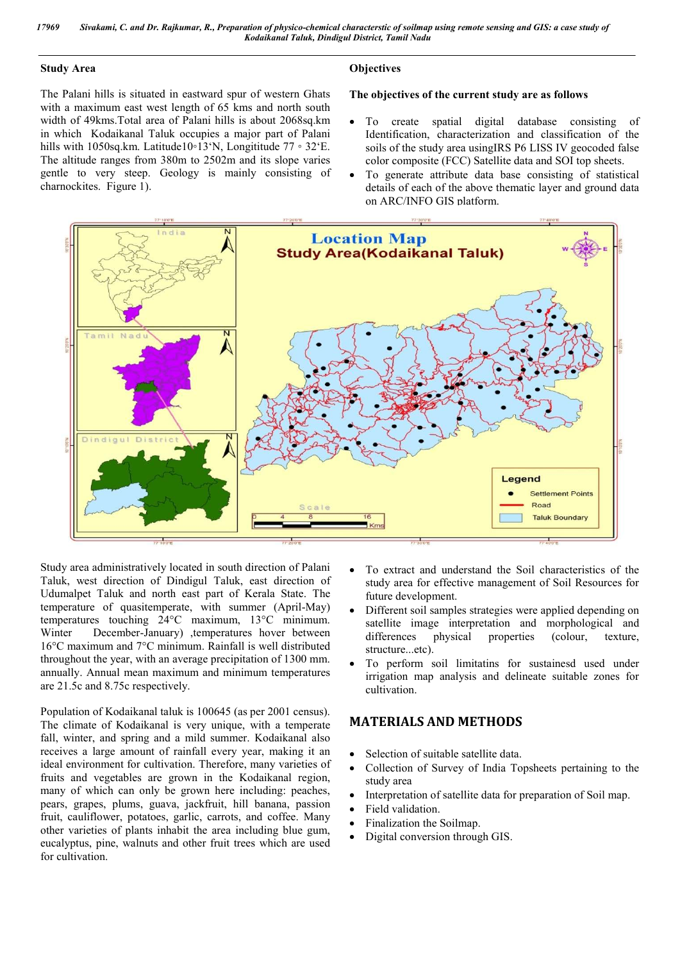#### **Study Area**

The Palani hills is situated in eastward spur of western Ghats with a maximum east west length of 65 kms and north south width of 49kms.Total area of Palani hills is about 2068sq.km in which Kodaikanal Taluk occupies a major part of Palani hills with 1050sq.km. Latitude10◦13'N, Longititude 77 ◦ 32'E. The altitude ranges from 380m to 2502m and its slope varies gentle to very steep. Geology is mainly consisting of charnockites. Figure 1).

## **Objectives**

#### **The objectives of the current study are as follows**

- To create spatial digital database consisting of Identification, characterization and classification of the soils of the study area usingIRS P6 LISS IV geocoded false color composite (FCC) Satellite data and SOI top sheets.
- To generate attribute data base consisting of statistical details of each of the above thematic layer and ground data on ARC/INFO GIS platform.



Study area administratively located in south direction of Palani Taluk, west direction of Dindigul Taluk, east direction of Udumalpet Taluk and north east part of Kerala State. The temperature of quasitemperate, with summer (April-May) temperatures touching 24°C maximum, 13°C minimum. Winter December-January) ,temperatures hover between 16°C maximum and 7°C minimum. Rainfall is well distributed throughout the year, with an average precipitation of 1300 mm. annually. Annual mean maximum and minimum temperatures are 21.5c and 8.75c respectively.

Population of Kodaikanal taluk is 100645 (as per 2001 census). The climate of Kodaikanal is very unique, with a temperate fall, winter, and spring and a mild summer. Kodaikanal also receives a large amount of rainfall every year, making it an ideal environment for cultivation. Therefore, many varieties of fruits and vegetables are grown in the Kodaikanal region, many of which can only be grown here including: peaches, pears, grapes, plums, guava, jackfruit, hill banana, passion fruit, cauliflower, potatoes, garlic, carrots, and coffee. Many other varieties of plants inhabit the area including blue gum, eucalyptus, pine, walnuts and other fruit trees which are used for cultivation.

- To extract and understand the Soil characteristics of the study area for effective management of Soil Resources for future development.
- Different soil samples strategies were applied depending on satellite image interpretation and morphological and differences physical properties (colour, texture, differences physical properties (colour, texture, structure...etc).
- To perform soil limitatins for sustainesd used under irrigation map analysis and delineate suitable zones for cultivation.

## **MATERIALS AND METHODS**

- Selection of suitable satellite data.
- Collection of Survey of India Topsheets pertaining to the study area
- Interpretation of satellite data for preparation of Soil map.
- Field validation.
- Finalization the Soilmap.
- Digital conversion through GIS.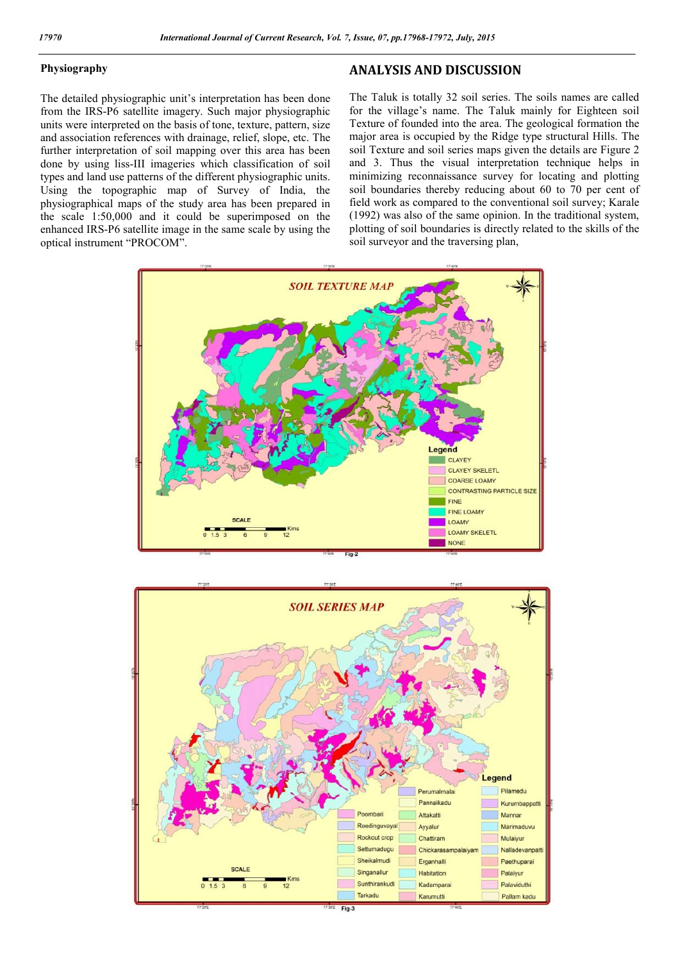#### **Physiography**

The detailed physiographic unit's interpretation has been done from the IRS-P6 satellite imagery. Such major physiographic units were interpreted on the basis of tone, texture, pattern, size and association references with drainage, relief, slope, etc. The further interpretation of soil mapping over this area has been done by using liss-III imageries which classification of soil types and land use patterns of the different physiographic units. Using the topographic map of Survey of India, the physiographical maps of the study area has been prepared in the scale 1:50,000 and it could be superimposed on the enhanced IRS-P6 satellite image in the same scale by using the optical instrument "PROCOM".

### **ANALYSIS AND DISCUSSION**

The Taluk is totally 32 soil series. The soils names are called for the village's name. The Taluk mainly for Eighteen soil Texture of founded into the area. The geological formation the major area is occupied by the Ridge type structural Hills. The soil Texture and soil series maps given the details are Figure 2 and 3. Thus the visual interpretation technique helps in minimizing reconnaissance survey for locating and plotting soil boundaries thereby reducing about 60 to 70 per cent of field work as compared to the conventional soil survey; Karale (1992) was also of the same opinion. In the traditional system, plotting of soil boundaries is directly related to the skills of the soil surveyor and the traversing plan,



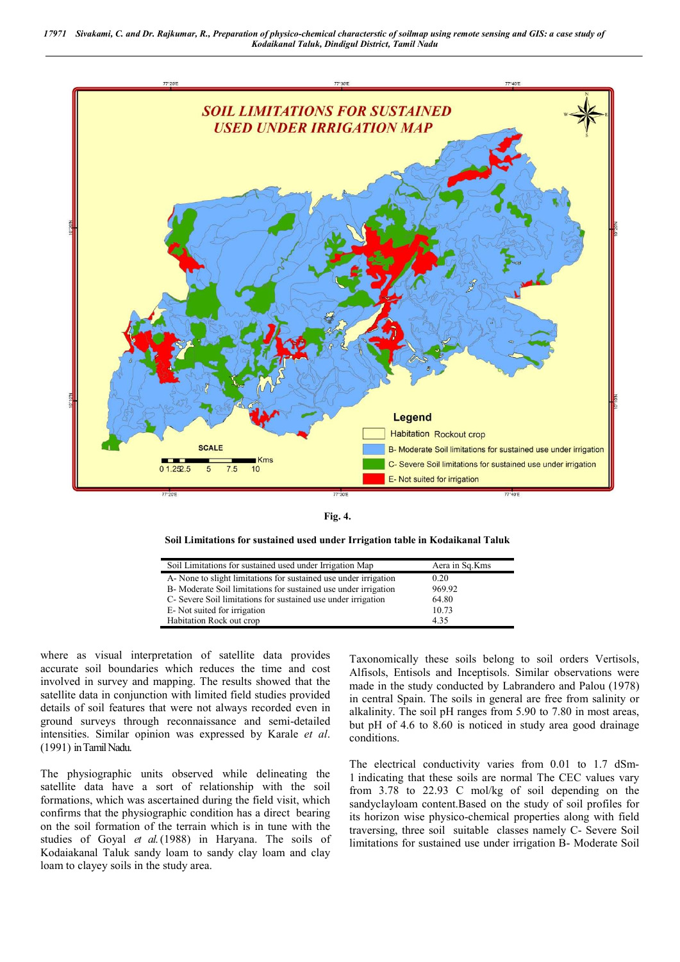



#### **Soil Limitations for sustained used under Irrigation table in Kodaikanal Taluk**

| Soil Limitations for sustained used under Irrigation Map         | Aera in Sq.Kms |
|------------------------------------------------------------------|----------------|
| A. None to slight limitations for sustained use under irrigation | 0.20           |
| B-Moderate Soil limitations for sustained use under irrigation   | 969.92         |
| C- Severe Soil limitations for sustained use under irrigation    | 64.80          |
| E-Not suited for irrigation                                      | 10.73          |
| Habitation Rock out crop                                         | 4.35           |

where as visual interpretation of satellite data provides accurate soil boundaries which reduces the time and cost involved in survey and mapping. The results showed that the satellite data in conjunction with limited field studies provided details of soil features that were not always recorded even in ground surveys through reconnaissance and semi-detailed intensities. Similar opinion was expressed by Karale *et al*. (1991) in Tamil Nadu.

The physiographic units observed while delineating the satellite data have a sort of relationship with the soil formations, which was ascertained during the field visit, which confirms that the physiographic condition has a direct bearing on the soil formation of the terrain which is in tune with the studies of Goyal *et al*. (1988) in Haryana. The soils of Kodaiakanal Taluk sandy loam to sandy clay loam and clay loam to clayey soils in the study area.

Taxonomically these soils belong to soil orders Vertisols, Alfisols, Entisols and Inceptisols. Similar observations were made in the study conducted by Labrandero and Palou (1978) in central Spain. The soils in general are free from salinity or alkalinity. The soil pH ranges from 5.90 to 7.80 in most areas, but pH of 4.6 to 8.60 is noticed in study area good drainage conditions.

The electrical conductivity varies from 0.01 to 1.7 dSm-1 indicating that these soils are normal The CEC values vary from 3.78 to 22.93 C mol/kg of soil depending on the sandyclayloam content.Based on the study of soil profiles for its horizon wise physico-chemical properties along with field traversing, three soil suitable classes namely C- Severe Soil limitations for sustained use under irrigation B- Moderate Soil